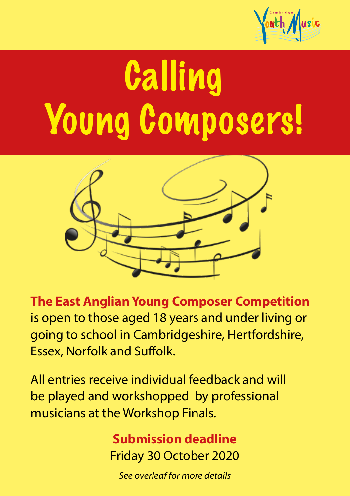

# Calling Young Composers!



**The East Anglian Young Composer Competition**  is open to those aged 18 years and under living or going to school in Cambridgeshire, Hertfordshire, Essex, Norfolk and Suffolk.

All entries receive individual feedback and will be played and workshopped by professional musicians at the Workshop Finals.

> **Submission deadline** Friday 30 October 2020

*See overleaf for more details*